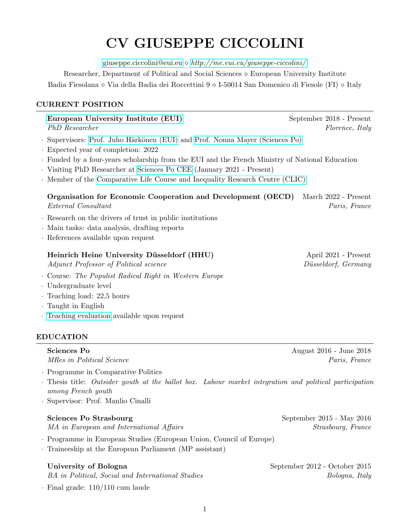# CV GIUSEPPE CICCOLINI

[giuseppe.ciccolini@eui.eu](mailto:giuseppe.ciccolini@eui.eu)  $\diamond$  <http://me.eui.eu/giuseppe-ciccolini/>

Researcher, Department of Political and Social Sciences European University Institute Badia Fiesolana  $\diamond$  Via della Badia dei Roccettini 9  $\diamond$  I-50014 San Domenico di Fiesole (FI)  $\diamond$  Italy

# CURRENT POSITION

# [European University Institute \(EUI\)](https://www.eui.eu/en/home) September 2018 - Present

- · Supervisors: [Prof. Juho H¨ark¨onen \(EUI\)](https://www.eui.eu/people?id=juho-harkonen) and [Prof. Nonna Mayer \(Sciences Po\)](https://www.sciencespo.fr/centre-etudes-europeennes/en/researcher/nonna-mayer.html)
- · Expected year of completion: 2022
- · Funded by a four-years scholarship from the EUI and the French Ministry of National Education
- · Visiting PhD Researcher at [Sciences Po CEE](https://www.sciencespo.fr/centre-etudes-europeennes/en.html) (January 2021 Present)
- · Member of the [Comparative Life Course and Inequality Research Centre \(CLIC\)](https://www.eui.eu/Projects/CLIC)

# Organisation for Economic Cooperation and Development (OECD) March 2022 - Present External Consultant Paris, France

- · Research on the drivers of trust in public institutions
- · Main tasks: data analysis, drafting reports
- · References available upon request

# Heinrich Heine University Düsseldorf (HHU) April 2021 - Present

Adjunct Professor of Political science Düsseldorf, Germany

- · Course: The Populist Radical Right in Western Europe
- · Undergraduate level
- · Teaching load: 22,5 hours
- · Taught in English
- · [Teaching evaluation](https://www.hhu.de/studium/lehre/evaluation) available upon request

# EDUCATION

MRes in Political Science **Paris, France** Paris, France Paris, *Paris*, *Paris*, *Paris*, *Paris*, *Paris*, *Paris*, *Paris*, *Paris*, *Paris*, *Paris*, *Paris*, *Paris*, *Paris*, *Paris*, *Paris*, *Paris*, *Paris*, *Paris* 

- · Programme in Comparative Politics
- · Thesis title: Outsider youth at the ballot box. Labour market integration and political participation among French youth
- · Supervisor: Prof. Manlio Cinalli

# Sciences Po Strasbourg September 2015 - May 2016

MA in European and International Affairs Strasbourg, France

- · Programme in European Studies (European Union, Council of Europe)
- · Traineeship at the European Parliament (MP assistant)

BA in Political, Social and International Studies Bologna, Italy

· Final grade: 110/110 cum laude

Sciences Po **August 2016** - June 2018

University of Bologna September 2012 - October 2015

PhD Researcher Florence, Italy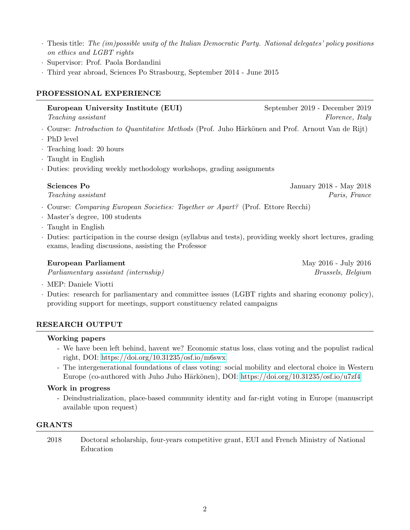- · Thesis title: The (im)possible unity of the Italian Democratic Party. National delegates' policy positions on ethics and LGBT rights
- · Supervisor: Prof. Paola Bordandini
- · Third year abroad, Sciences Po Strasbourg, September 2014 June 2015

### PROFESSIONAL EXPERIENCE

European University Institute (EUI) September 2019 - December 2019

Teaching assistant Florence, Italy

- · Course: Introduction to Quantitative Methods (Prof. Juho Härkönen and Prof. Arnout Van de Rijt)
- · PhD level
- · Teaching load: 20 hours
- · Taught in English
- · Duties: providing weekly methodology workshops, grading assignments

Sciences Po January 2018 - May 2018

Teaching assistant Paris, France

- · Course: Comparing European Societies: Together or Apart? (Prof. Ettore Recchi)
- · Master's degree, 100 students
- · Taught in English
- · Duties: participation in the course design (syllabus and tests), providing weekly short lectures, grading exams, leading discussions, assisting the Professor

#### **European Parliament** May 2016 - July 2016

Parliamentary assistant (internship) Brussels, Belgium

· MEP: Daniele Viotti

· Duties: research for parliamentary and committee issues (LGBT rights and sharing economy policy), providing support for meetings, support constituency related campaigns

# RESEARCH OUTPUT

#### Working papers

- We have been left behind, havent we? Economic status loss, class voting and the populist radical right, DOI:<https://doi.org/10.31235/osf.io/m6swx>
- The intergenerational foundations of class voting: social mobility and electoral choice in Western Europe (co-authored with Juho Juho Härkönen), DOI:<https://doi.org/10.31235/osf.io/u7zf4>

# Work in progress

- Deindustrialization, place-based community identity and far-right voting in Europe (manuscript available upon request)

# GRANTS

2018 Doctoral scholarship, four-years competitive grant, EUI and French Ministry of National Education